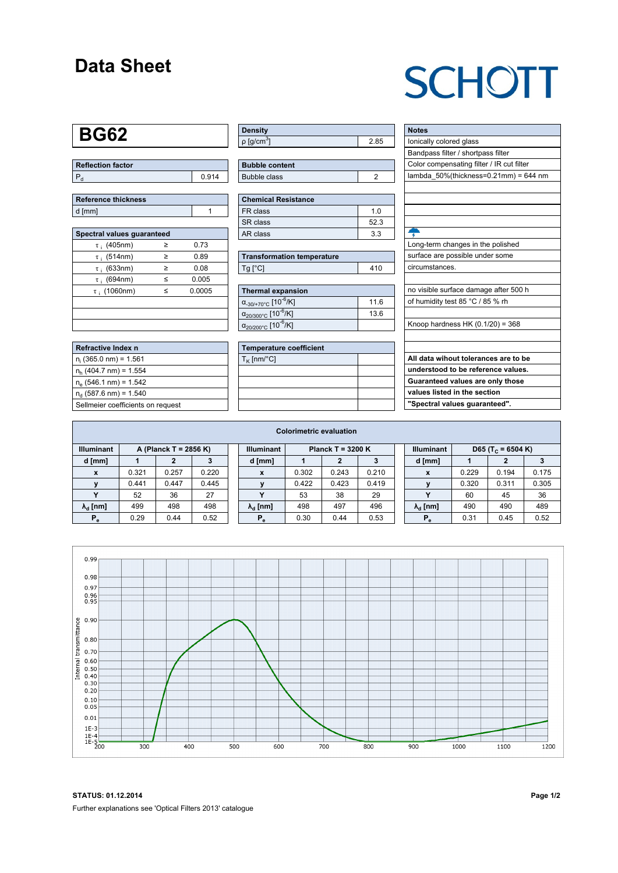### **Data Sheet**

## **SCHOTT**

## **BG62**

| <b>Reflection factor</b> |       |
|--------------------------|-------|
|                          | 0.914 |

| Reference thickness |  |
|---------------------|--|
| d [mm]              |  |

| Spectral values quaranteed |   |        |  |  |  |  |  |  |  |
|----------------------------|---|--------|--|--|--|--|--|--|--|
| $\tau$ ; (405nm)           | ≥ | 0.73   |  |  |  |  |  |  |  |
| $\tau$ ; (514nm)           | ≥ | 0.89   |  |  |  |  |  |  |  |
| $\tau$ ; (633nm)           | ≥ | 0.08   |  |  |  |  |  |  |  |
| $\tau$ ; (694nm)           | < | 0.005  |  |  |  |  |  |  |  |
| $\tau$ ; (1060nm)          | < | 0.0005 |  |  |  |  |  |  |  |
|                            |   |        |  |  |  |  |  |  |  |
|                            |   |        |  |  |  |  |  |  |  |
|                            |   |        |  |  |  |  |  |  |  |

| Refractive Index n                |
|-----------------------------------|
| $n_i$ (365.0 nm) = 1.561          |
| $n_h$ (404.7 nm) = 1.554          |
| $n_e$ (546.1 nm) = 1.542          |
| $n_d$ (587.6 nm) = 1.540          |
| Sellmeier coefficients on request |

| Density                     |      |
|-----------------------------|------|
| $\rho$ [g/cm <sup>3</sup> ] | - 85 |

| <b>Bubble content</b> |  |
|-----------------------|--|
| Bubble class          |  |

| <b>Chemical Resistance</b> |     |
|----------------------------|-----|
| FR class                   | 1 በ |
| SR class                   | 523 |
| AR class                   | 33  |

| <b>Transformation temperature</b> |     |
|-----------------------------------|-----|
| $Ta$ $C1$                         | 410 |

| Thermal expansion                                 |      |
|---------------------------------------------------|------|
| $\alpha_{.30/+70\degree}$ C [10 <sup>-6</sup> /K] | 11.6 |
| $\alpha_{20/300^{\circ}C}$ [10 <sup>-6</sup> /K]  | 13.6 |
| $\alpha_{20/200^{\circ}C}$ [10 <sup>-6</sup> /K]  |      |

| <b>Temperature coefficient</b> |  |
|--------------------------------|--|
| $T_K$ [nm/°C]                  |  |
|                                |  |
|                                |  |
|                                |  |
|                                |  |

| <b>Notes</b>                              |
|-------------------------------------------|
| lonically colored glass                   |
| Bandpass filter / shortpass filter        |
| Color compensating filter / IR cut filter |
| lambda $50\%$ (thickness=0.21mm) = 644 nm |
|                                           |
|                                           |
|                                           |
|                                           |
| ÷                                         |
| Long-term changes in the polished         |
| surface are possible under some           |
| circumstances.                            |
|                                           |
| no visible surface damage after 500 h     |
| of humidity test 85 °C / 85 % rh          |
|                                           |
| Knoop hardness HK $(0.1/20) = 368$        |
|                                           |
|                                           |
| All data wihout tolerances are to be      |
| understood to be reference values.        |
| Guaranteed values are only those          |
| values listed in the section              |
| "Spectral values guaranteed".             |

|                                            | <b>Colorimetric evaluation</b> |       |       |                                          |                        |       |       |       |                                                    |                        |       |       |       |
|--------------------------------------------|--------------------------------|-------|-------|------------------------------------------|------------------------|-------|-------|-------|----------------------------------------------------|------------------------|-------|-------|-------|
| <b>Illuminant</b><br>A (Planck T = 2856 K) |                                |       |       | <b>Illuminant</b><br>Planck T = $3200 K$ |                        |       |       |       | <b>Illuminant</b><br>D65 (T <sub>c</sub> = 6504 K) |                        |       |       |       |
| d [mm]                                     |                                |       |       |                                          | d [mm]                 |       |       | 3     |                                                    | d [mm]                 |       |       |       |
| $\mathbf{x}$                               | 0.321                          | 0.257 | 0.220 |                                          | X                      | 0.302 | 0.243 | 0.210 |                                                    | $\boldsymbol{x}$       | 0.229 | 0.194 | 0.175 |
|                                            | 0.441                          | 0.447 | 0.445 |                                          |                        | 0.422 | 0.423 | 0.419 |                                                    |                        | 0.320 | 0.311 | 0.305 |
| $\checkmark$                               | 52                             | 36    | 27    |                                          |                        | 53    | 38    | 29    |                                                    |                        | 60    | 45    | 36    |
| $\lambda_{\rm d}$ [nm]                     | 499                            | 498   | 498   |                                          | $\lambda_{\rm d}$ [nm] | 498   | 497   | 496   |                                                    | $\lambda_{\rm d}$ [nm] | 490   | 490   | 489   |
| $P_e$                                      | 0.29                           | 0.44  | 0.52  |                                          | $P_e$                  | 0.30  | 0.44  | 0.53  |                                                    | $P_e$                  | 0.31  | 0.45  | 0.52  |
|                                            |                                |       |       |                                          |                        |       |       |       |                                                    |                        |       |       |       |



**STATUS: 01.12.2014 Page 1/2** Further explanations see 'Optical Filters 2013' catalogue